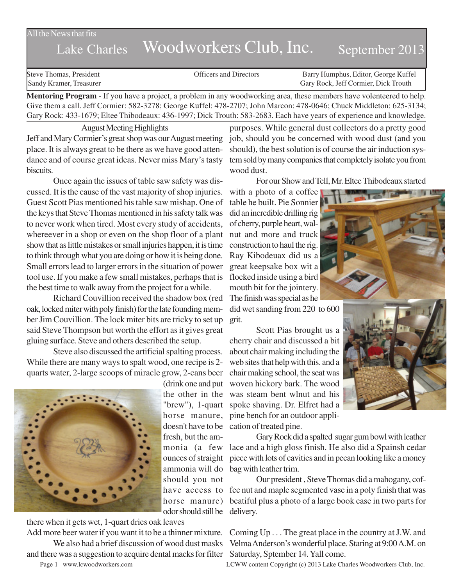## All the News that fits

## Lake Charles Woodworkers Club, Inc. September 2013

Steve Thomas, President **State Concrete Concrete Concrete Concrete Concrete Concrete Concrete Concrete Concrete Concrete Concrete Concrete Concrete Concrete Concrete Concrete Concrete Concrete Concrete Concrete Concrete Co** Sandy Kramer, Treasurer Gary Rock, Jeff Cormier, Dick Trouth

**Mentoring Program** - If you have a project, a problem in any woodworking area, these members have volenteered to help. Give them a call. Jeff Cormier: 582-3278; George Kuffel: 478-2707; John Marcon: 478-0646; Chuck Middleton: 625-3134; Gary Rock: 433-1679; Eltee Thibodeaux: 436-1997; Dick Trouth: 583-2683. Each have years of experience and knowledge.

August Meeting Highlights Jeff and Mary Cormier's great shop was our August meeting place. It is always great to be there as we have good attendance and of course great ideas. Never miss Mary's tasty biscuits.

Once again the issues of table saw safety was discussed. It is the cause of the vast majority of shop injuries. Guest Scott Pias mentioned his table saw mishap. One of the keys that Steve Thomas mentioned in his safety talk was to never work when tired. Most every study of accidents, whereever in a shop or even on the shop floor of a plant show that as little mistakes or small injuries happen, it is time to think through what you are doing or how it is being done. Small errors lead to larger errors in the situation of power tool use. If you make a few small mistakes, perhaps that is the best time to walk away from the project for a while.

Richard Couvillion received the shadow box (red oak, locked miter with poly finish) for the late founding member Jim Couvillion. The lock miter bits are tricky to set up said Steve Thompson but worth the effort as it gives great gluing surface. Steve and others described the setup.

Steve also discussed the artificial spalting process. While there are many ways to spalt wood, one recipe is 2 quarts water, 2-large scoops of miracle grow, 2-cans beer



(drink one and put the other in the horse manure, fresh, but the ammonia (a few ounces of straight ammonia will do should you not odor should still be delivery.

there when it gets wet, 1-quart dries oak leaves and there was a suggestion to acquire dental macks for filter Saturday, Sptember 14. Yall come.

purposes. While general dust collectors do a pretty good job, should you be concerned with wood dust (and you should), the best solution is of course the air induction system sold by many companies that completely isolate you from wood dust.

For our Show and Tell, Mr. Eltee Thibodeaux started

with a photo of a coffee table he built. Pie Sonnier did an incredible drilling rig of cherry, purple heart, walnut and more and truck construction to haul the rig. Ray Kibodeuax did us a great keepsake box wit a flocked inside using a bird mouth bit for the jointery. The finish was special as he

did wet sanding from 220 to 600 grit.

"brew"), 1-quart spoke shaving. Dr. Elfret had a doesn't have to be cation of treated pine. Scott Pias brought us a cherry chair and discussed a bit about chair making including the web sites that help with this. and a chair making school, the seat was woven hickory bark. The wood was steam bent wlnut and his pine bench for an outdoor appli-

> Gary Rock did a spalted sugar gum bowl with leather lace and a high gloss finish. He also did a Spainsh cedar piece with lots of cavities and in pecan looking like a money bag with leather trim.

have access to fee nut and maple segmented vase in a poly finish that was horse manure) beatiful plus a photo of a large book case in two parts for Our president , Steve Thomas did a mahogany, cof-

Add more beer water if you want it to be a thinner mixture. Coming Up . . . The great place in the country at J.W. and We also had a brief discussion of wood dust masks Velma Anderson's wonderful place. Staring at 9:00 A.M. on

Page 1 www.lcwoodworkers.com LCWW content Copyright (c) 2013 Lake Charles Woodworkers Club, Inc.

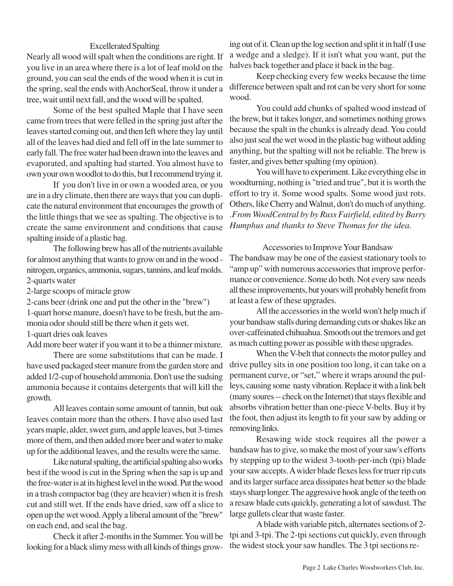## Excellerated Spalting

Nearly all wood will spalt when the conditions are right. If you live in an area where there is a lot of leaf mold on the ground, you can seal the ends of the wood when it is cut in the spring, seal the ends with AnchorSeal, throw it under a tree, wait until next fall, and the wood will be spalted.

Some of the best spalted Maple that I have seen came from trees that were felled in the spring just after the leaves started coming out, and then left where they lay until all of the leaves had died and fell off in the late summer to early fall. The free water had been drawn into the leaves and evaporated, and spalting had started. You almost have to own your own woodlot to do this, but I recommend trying it.

If you don't live in or own a wooded area, or you are in a dry climate, then there are ways that you can duplicate the natural environment that encourages the growth of the little things that we see as spalting. The objective is to create the same environment and conditions that cause spalting inside of a plastic bag.

The following brew has all of the nutrients available for almost anything that wants to grow on and in the wood nitrogen, organics, ammonia, sugars, tannins, and leaf molds. 2-quarts water

2-large scoops of miracle grow

2-cans beer (drink one and put the other in the "brew")

1-quart horse manure, doesn't have to be fresh, but the ammonia odor should still be there when it gets wet.

1-quart dries oak leaves

Add more beer water if you want it to be a thinner mixture.

There are some substitutions that can be made. I have used packaged steer manure from the garden store and added 1/2-cup of household ammonia. Don't use the sudsing ammonia because it contains detergents that will kill the growth.

All leaves contain some amount of tannin, but oak leaves contain more than the others. I have also used last years maple, alder, sweet gum, and apple leaves, but 3-times more of them, and then added more beer and water to make up for the additional leaves, and the results were the same.

Like natural spalting, the artificial spalting also works best if the wood is cut in the Spring when the sap is up and the free-water is at its highest level in the wood. Put the wood in a trash compactor bag (they are heavier) when it is fresh cut and still wet. If the ends have dried, saw off a slice to open up the wet wood. Apply a liberal amount of the "brew" on each end, and seal the bag.

Check it after 2-months in the Summer. You will be looking for a black slimy mess with all kinds of things growing out of it. Clean up the log section and split it in half (I use a wedge and a sledge). If it isn't what you want, put the halves back together and place it back in the bag.

Keep checking every few weeks because the time difference between spalt and rot can be very short for some wood.

You could add chunks of spalted wood instead of the brew, but it takes longer, and sometimes nothing grows because the spalt in the chunks is already dead. You could also just seal the wet wood in the plastic bag without adding anything, but the spalting will not be reliable. The brew is faster, and gives better spalting (my opinion).

You will have to experiment. Like everything else in woodturning, nothing is "tried and true", but it is worth the effort to try it. Some wood spalts. Some wood just rots. Others, like Cherry and Walnut, don't do much of anything. .*From WoodCentral by by Russ Fairfield, edited by Barry Humphus and thanks to Steve Thomas for the idea.*

Accessories to Improve Your Bandsaw The bandsaw may be one of the easiest stationary tools to "amp up" with numerous accessories that improve performance or convenience. Some do both. Not every saw needs all these improvements, but yours will probably benefit from at least a few of these upgrades.

All the accessories in the world won't help much if your bandsaw stalls during demanding cuts or shakes like an over-caffeinated chihuahua. Smooth out the tremors and get as much cutting power as possible with these upgrades.

When the V-belt that connects the motor pulley and drive pulley sits in one position too long, it can take on a permanent curve, or "set," where it wraps around the pulleys, causing some nasty vibration. Replace it with a link belt (many soures -- check on the Internet) that stays flexible and absorbs vibration better than one-piece V-belts. Buy it by the foot, then adjust its length to fit your saw by adding or removing links.

Resawing wide stock requires all the power a bandsaw has to give, so make the most of your saw's efforts by stepping up to the widest 3-tooth-per-inch (tpi) blade your saw accepts. A wider blade flexes less for truer rip cuts and its larger surface area dissipates heat better so the blade stays sharp longer. The aggressive hook angle of the teeth on a resaw blade cuts quickly, generating a lot of sawdust. The large gullets clear that waste faster.

A blade with variable pitch, alternates sections of 2 tpi and 3-tpi. The 2-tpi sections cut quickly, even through the widest stock your saw handles. The 3 tpi sections re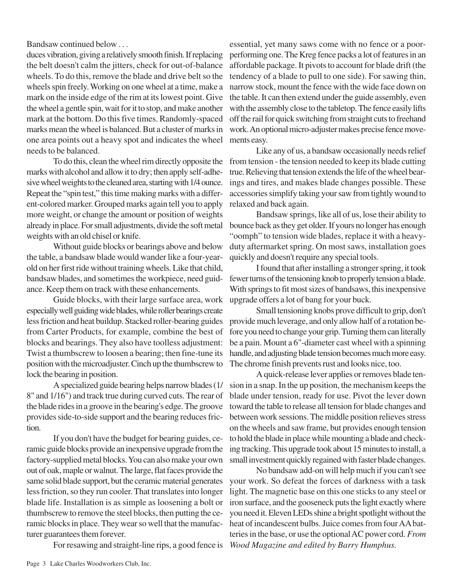Bandsaw continued below . . .

duces vibration, giving a relatively smooth finish. If replacing the belt doesn't calm the jitters, check for out-of-balance wheels. To do this, remove the blade and drive belt so the wheels spin freely. Working on one wheel at a time, make a mark on the inside edge of the rim at its lowest point. Give the wheel a gentle spin, wait for it to stop, and make another mark at the bottom. Do this five times. Randomly-spaced marks mean the wheel is balanced. But a cluster of marks in one area points out a heavy spot and indicates the wheel needs to be balanced.

To do this, clean the wheel rim directly opposite the marks with alcohol and allow it to dry; then apply self-adhesive wheel weights to the cleaned area, starting with 1/4 ounce. Repeat the "spin test," this time making marks with a different-colored marker. Grouped marks again tell you to apply more weight, or change the amount or position of weights already in place. For small adjustments, divide the soft metal weights with an old chisel or knife.

Without guide blocks or bearings above and below the table, a bandsaw blade would wander like a four-yearold on her first ride without training wheels. Like that child, bandsaw blades, and sometimes the workpiece, need guidance. Keep them on track with these enhancements.

Guide blocks, with their large surface area, work especially well guiding wide blades, while roller bearings create less friction and heat buildup. Stacked roller-bearing guides from Carter Products, for example, combine the best of blocks and bearings. They also have toolless adjustment: Twist a thumbscrew to loosen a bearing; then fine-tune its position with the microadjuster. Cinch up the thumbscrew to lock the bearing in position.

A specialized guide bearing helps narrow blades (1/ 8" and 1/16") and track true during curved cuts. The rear of the blade rides in a groove in the bearing's edge. The groove provides side-to-side support and the bearing reduces friction.

If you don't have the budget for bearing guides, ceramic guide blocks provide an inexpensive upgrade from the factory-supplied metal blocks. You can also make your own out of oak, maple or walnut. The large, flat faces provide the same solid blade support, but the ceramic material generates less friction, so they run cooler. That translates into longer blade life. Installation is as simple as loosening a bolt or thumbscrew to remove the steel blocks, then putting the ceramic blocks in place. They wear so well that the manufacturer guarantees them forever.

essential, yet many saws come with no fence or a poorperforming one. The Kreg fence packs a lot of features in an affordable package. It pivots to account for blade drift (the tendency of a blade to pull to one side). For sawing thin, narrow stock, mount the fence with the wide face down on the table. It can then extend under the guide assembly, even with the assembly close to the tabletop. The fence easily lifts off the rail for quick switching from straight cuts to freehand work. An optional micro-adjuster makes precise fence movements easy.

Like any of us, a bandsaw occasionally needs relief from tension - the tension needed to keep its blade cutting true. Relieving that tension extends the life of the wheel bearings and tires, and makes blade changes possible. These accessories simplify taking your saw from tightly wound to relaxed and back again.

Bandsaw springs, like all of us, lose their ability to bounce back as they get older. If yours no longer has enough "oomph" to tension wide blades, replace it with a heavyduty aftermarket spring. On most saws, installation goes quickly and doesn't require any special tools.

I found that after installing a stronger spring, it took fewer turns of the tensioning knob to properly tension a blade. With springs to fit most sizes of bandsaws, this inexpensive upgrade offers a lot of bang for your buck.

Small tensioning knobs prove difficult to grip, don't provide much leverage, and only allow half of a rotation before you need to change your grip. Turning them can literally be a pain. Mount a 6"-diameter cast wheel with a spinning handle, and adjusting blade tension becomes much more easy. The chrome finish prevents rust and looks nice, too.

A quick-release lever applies or removes blade tension in a snap. In the up position, the mechanism keeps the blade under tension, ready for use. Pivot the lever down toward the table to release all tension for blade changes and between work sessions. The middle position relieves stress on the wheels and saw frame, but provides enough tension to hold the blade in place while mounting a blade and checking tracking. This upgrade took about 15 minutes to install, a small investment quickly regained with faster blade changes.

For resawing and straight-line rips, a good fence is *Wood Magazine and edited by Barry Humphus.*No bandsaw add-on will help much if you can't see your work. So defeat the forces of darkness with a task light. The magnetic base on this one sticks to any steel or iron surface, and the gooseneck puts the light exactly where you need it. Eleven LEDs shine a bright spotlight without the heat of incandescent bulbs. Juice comes from four AA batteries in the base, or use the optional AC power cord. *From*